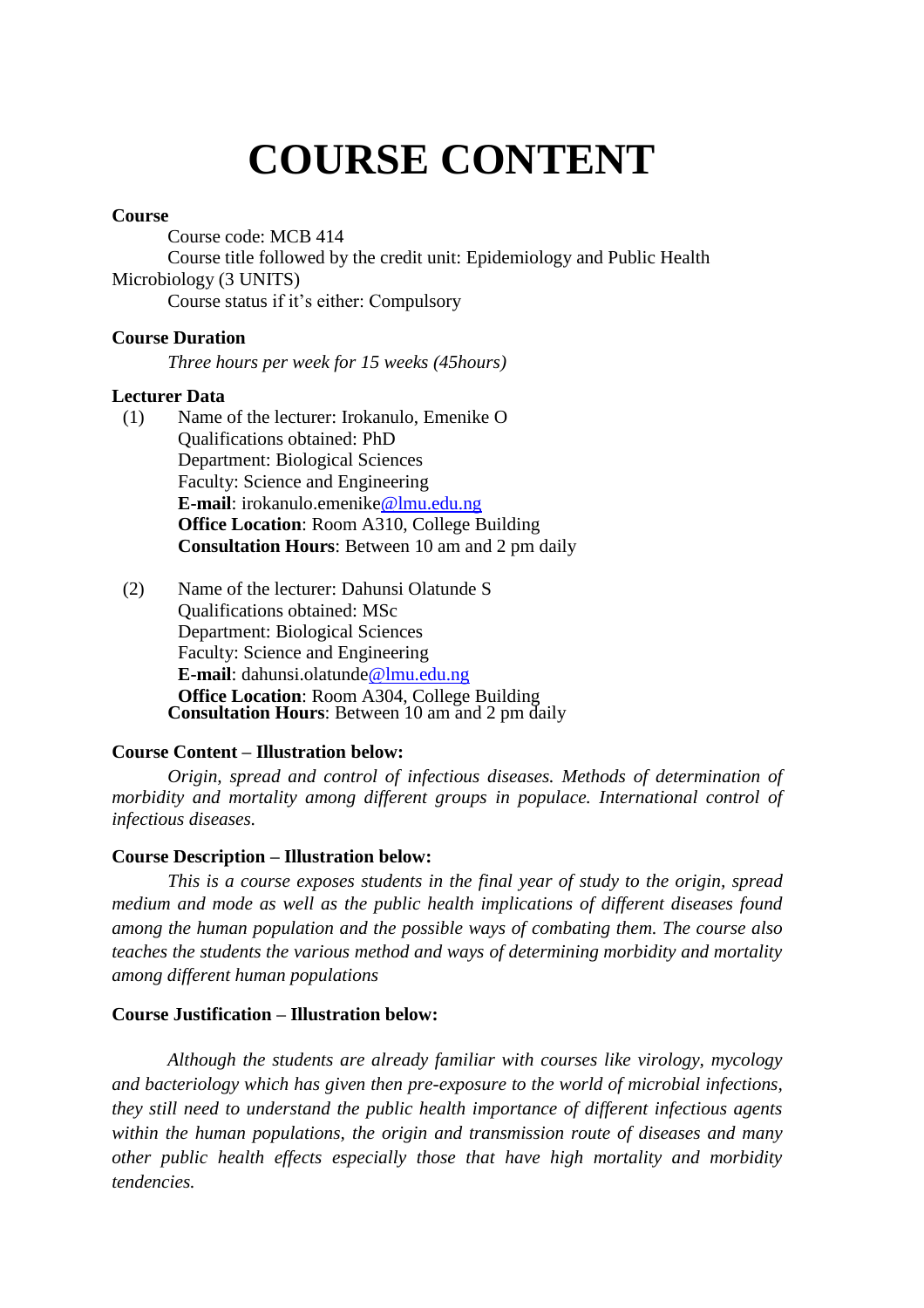# **COURSE CONTENT**

#### **Course**

Course code: MCB 414 Course title followed by the credit unit: Epidemiology and Public Health Microbiology (3 UNITS) Course status if it's either: Compulsory

#### **Course Duration**

*Three hours per week for 15 weeks (45hours)*

#### **Lecturer Data**

- (1) Name of the lecturer: Irokanulo, Emenike O Qualifications obtained: PhD Department: Biological Sciences Faculty: Science and Engineering **E-mail**: irokanulo.emenike@lmu.edu.ng **Office Location**: Room A310, College Building **Consultation Hours**: Between 10 am and 2 pm daily
- (2) Name of the lecturer: Dahunsi Olatunde S Qualifications obtained: MSc Department: Biological Sciences Faculty: Science and Engineering **E-mail**: dahunsi.olatunde@lmu.edu.ng **Office Location**: Room A304, College Building **Consultation Hours**: Between 10 am and 2 pm daily

#### **Course Content – Illustration below:**

*Origin, spread and control of infectious diseases. Methods of determination of morbidity and mortality among different groups in populace. International control of infectious diseases.*

#### **Course Description – Illustration below:**

*This is a course exposes students in the final year of study to the origin, spread medium and mode as well as the public health implications of different diseases found among the human population and the possible ways of combating them. The course also teaches the students the various method and ways of determining morbidity and mortality among different human populations*

#### **Course Justification – Illustration below:**

*Although the students are already familiar with courses like virology, mycology and bacteriology which has given then pre-exposure to the world of microbial infections, they still need to understand the public health importance of different infectious agents within the human populations, the origin and transmission route of diseases and many other public health effects especially those that have high mortality and morbidity tendencies.*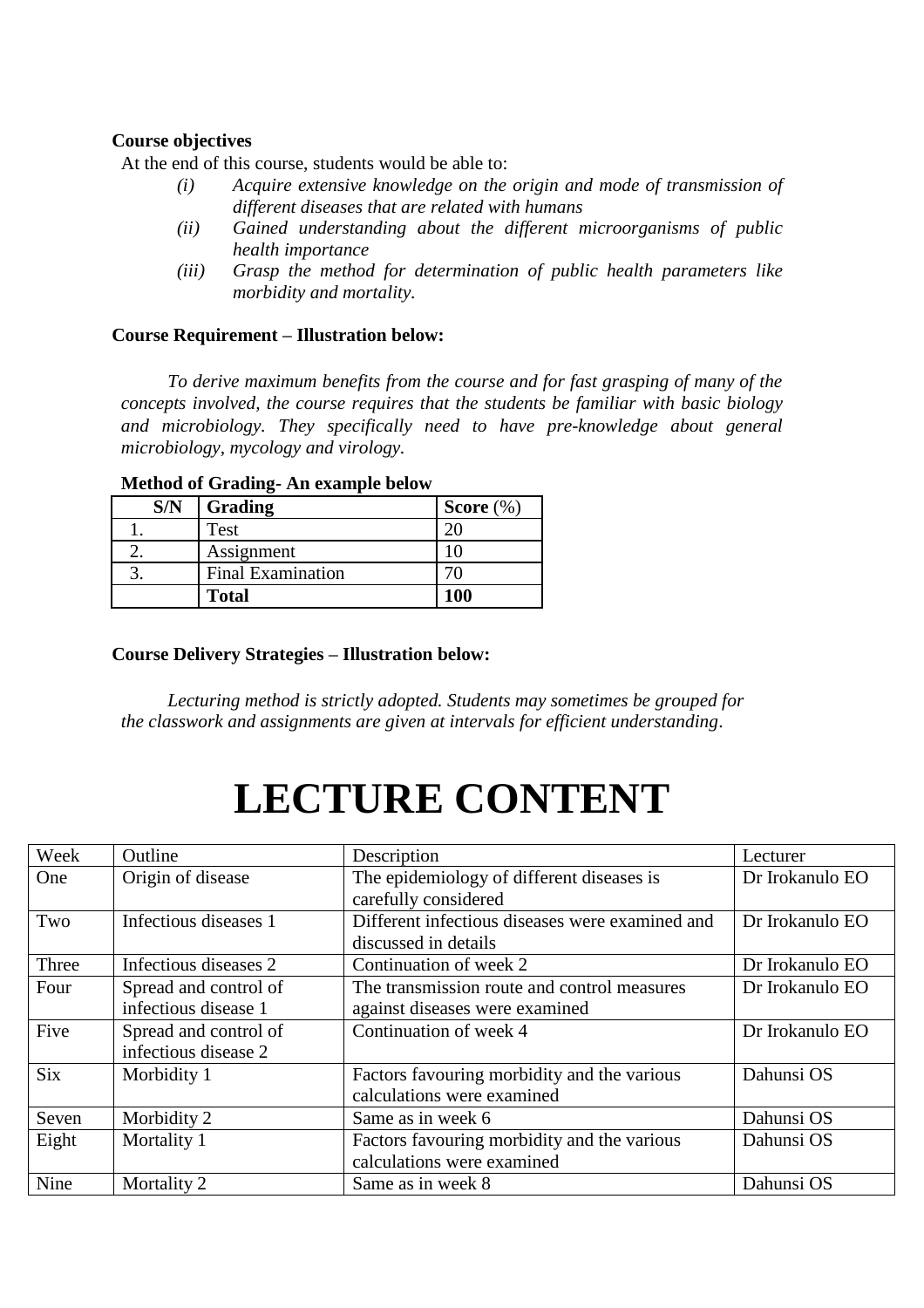#### **Course objectives**

At the end of this course, students would be able to:

- *(i) Acquire extensive knowledge on the origin and mode of transmission of different diseases that are related with humans*
- *(ii) Gained understanding about the different microorganisms of public health importance*
- *(iii) Grasp the method for determination of public health parameters like morbidity and mortality.*

#### **Course Requirement – Illustration below:**

*To derive maximum benefits from the course and for fast grasping of many of the concepts involved, the course requires that the students be familiar with basic biology and microbiology. They specifically need to have pre-knowledge about general microbiology, mycology and virology.* 

### **S/N Grading Score**  $(\%)$ 1. **Test** 20 2. Assignment 10 3. Final Examination 70 **Total 100**

#### **Method of Grading- An example below**

#### **Course Delivery Strategies – Illustration below:**

*Lecturing method is strictly adopted. Students may sometimes be grouped for the classwork and assignments are given at intervals for efficient understanding*.

## **LECTURE CONTENT**

| Week       | Outline               | Description                                     | Lecturer        |
|------------|-----------------------|-------------------------------------------------|-----------------|
| One        | Origin of disease     | The epidemiology of different diseases is       | Dr Irokanulo EO |
|            |                       | carefully considered                            |                 |
| Two        | Infectious diseases 1 | Different infectious diseases were examined and | Dr Irokanulo EO |
|            |                       | discussed in details                            |                 |
| Three      | Infectious diseases 2 | Continuation of week 2                          | Dr Irokanulo EO |
| Four       | Spread and control of | The transmission route and control measures     | Dr Irokanulo EO |
|            | infectious disease 1  | against diseases were examined                  |                 |
| Five       | Spread and control of | Continuation of week 4                          | Dr Irokanulo EO |
|            | infectious disease 2  |                                                 |                 |
| <b>Six</b> | Morbidity 1           | Factors favouring morbidity and the various     | Dahunsi OS      |
|            |                       | calculations were examined                      |                 |
| Seven      | Morbidity 2           | Same as in week 6                               | Dahunsi OS      |
| Eight      | Mortality 1           | Factors favouring morbidity and the various     | Dahunsi OS      |
|            |                       | calculations were examined                      |                 |
| Nine       | Mortality 2           | Same as in week 8                               | Dahunsi OS      |